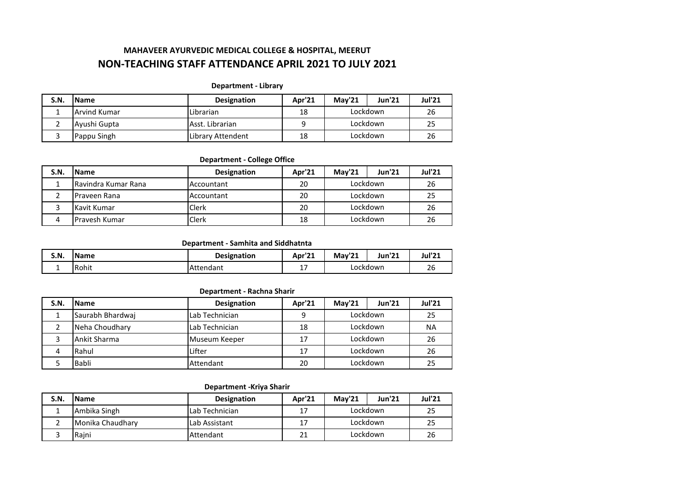# **NON-TEACHING STAFF ATTENDANCE APRIL 2021 TO JULY 2021 MAHAVEER AYURVEDIC MEDICAL COLLEGE & HOSPITAL, MEERUT**

#### **Department - Library**

| <b>S.N.</b> | <b>Name</b>         | <b>Designation</b> | Apr'21 | Mav'21   | <b>Jun'21</b> | <b>Jul'21</b> |
|-------------|---------------------|--------------------|--------|----------|---------------|---------------|
|             | <b>Arvind Kumar</b> | Librarian          | 18     | Lockdown |               | 26            |
|             | Ayushi Gupta        | Asst. Librarian    |        | Lockdown |               | 25            |
|             | Pappu Singh         | Library Attendent  | 18     |          | Lockdown      | 26            |

#### **Department - College Office**

| S.N. | <b>Name</b>                | <b>Designation</b> | Apr'21 | <b>Mav'21</b> | <b>Jun'21</b> | <b>Jul'21</b> |
|------|----------------------------|--------------------|--------|---------------|---------------|---------------|
|      | <b>Ravindra Kumar Rana</b> | Accountant         | 20     | Lockdown      |               | 26            |
|      | Praveen Rana               | Accountant         | 20     | Lockdown      |               | 25            |
|      | Kavit Kumar                | <b>Clerk</b>       | 20     | Lockdown      |               | 26            |
|      | <b>Pravesh Kumar</b>       | Clerk              | 18     | Lockdown      |               | 26            |

#### **Department - Samhita and Siddhatnta**

| S.N. | <b>Name</b> | <b>Designation</b> | Apr'2.    | May'21   | Jun'21 | <b>Jul'21</b>        |
|------|-------------|--------------------|-----------|----------|--------|----------------------|
| -    | l Rohit     | Attendant          | . –<br>∸' | Lockdown |        | $\overline{c}$<br>ZU |

#### **Department - Rachna Sharir**

| S.N. | <b>IName</b>     | <b>Designation</b> | Apr'21 | <b>Mav'21</b> | <b>Jun'21</b> | <b>Jul'21</b> |
|------|------------------|--------------------|--------|---------------|---------------|---------------|
|      | Saurabh Bhardwaj | Lab Technician     | q      | Lockdown      |               | 25            |
|      | Neha Choudhary   | Lab Technician     | 18     | Lockdown      |               | NA            |
|      | Ankit Sharma     | Museum Keeper      | 17     | Lockdown      |               | 26            |
|      | Rahul            | Lifter             | 17     | Lockdown      |               | 26            |
|      | Babli            | Attendant          | 20     | Lockdown      |               |               |

#### **Department -Kriya Sharir**

| S.N. | <b>Name</b>      | <b>Designation</b> | Apr'21 | May'21   | <b>Jun'21</b> | Jul'21 |
|------|------------------|--------------------|--------|----------|---------------|--------|
|      | Ambika Singh     | l Lab Technician   | -17    | Lockdown |               | 25     |
|      | Monika Chaudhary | Lab Assistant      | 17     | Lockdown |               | 25     |
|      | Raini            | Attendant          | 21     | Lockdown |               | 26     |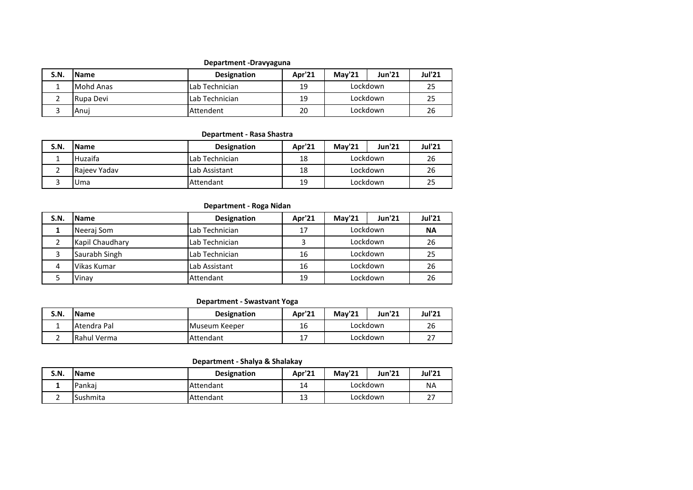## **Department -Dravyaguna**

| S.N. | <b>Name</b> | <b>Designation</b>     | Apr'21 | Mav'21   | <b>Jun'21</b> | <b>Jul'21</b> |
|------|-------------|------------------------|--------|----------|---------------|---------------|
|      | Mohd Anas   | <b>ILab Technician</b> | 19     | Lockdown |               | 25            |
|      | Rupa Devi   | <b>ILab Technician</b> | 19     | Lockdown |               | 25            |
|      | Anui        | Attendent              | 20     | Lockdown |               | 26            |

## **Department - Rasa Shastra**

| S.N. | <b>Name</b>    | <b>Designation</b> | Apr'21 | <b>Mav'21</b> | <b>Jun'21</b> | <b>Jul'21</b> |
|------|----------------|--------------------|--------|---------------|---------------|---------------|
|      | <b>Huzaifa</b> | Lab Technician     | 18     | Lockdown      |               | 26            |
|      | Rajeev Yadav   | Lab Assistant      | 18     | Lockdown      |               | 26            |
|      | IUma           | Attendant          | 19     | Lockdown      |               | 25            |

## **Department - Roga Nidan**

| <b>S.N.</b> | <b>Name</b>     | <b>Designation</b> | Apr'21 | <b>Mav'21</b> | <b>Jun'21</b> | <b>Jul'21</b> |
|-------------|-----------------|--------------------|--------|---------------|---------------|---------------|
|             | Neeraj Som      | Lab Technician     | 17     | Lockdown      |               | <b>NA</b>     |
|             | Kapil Chaudhary | Lab Technician     |        | Lockdown      |               | 26            |
|             | Saurabh Singh   | Lab Technician     | 16     | Lockdown      |               | 25            |
|             | Vikas Kumar     | Lab Assistant      | 16     | Lockdown      |               | 26            |
|             | Vinay           | Attendant          | 19     | Lockdown      |               | 26            |

#### **Department - Swastvant Yoga**

| S.N. | <b>IName</b> | <b>Designation</b> | Apr'21   | <b>Mav'21</b> | Jun'21 | Jul'21         |
|------|--------------|--------------------|----------|---------------|--------|----------------|
|      | Atendra Pal  | Museum Keeper      | 16       | Lockdown      |        | 26             |
|      | Rahul Verma  | <b>Attendant</b>   | <b>.</b> | Lockdown      |        | ~-<br><u>.</u> |

## **Department - Shalya & Shalakay**

| S.N. | <b>Name</b> | <b>Designation</b> | Apr'21  | <b>Mav'21</b> | Jun'21 | Jul'21         |
|------|-------------|--------------------|---------|---------------|--------|----------------|
|      | Pankai      | Attendant          | 14      | Lockdown      |        | <b>NA</b>      |
|      | Sushmita    | <b>Attendant</b>   | 13<br>∸ | Lockdown      |        | ~-<br><u>.</u> |